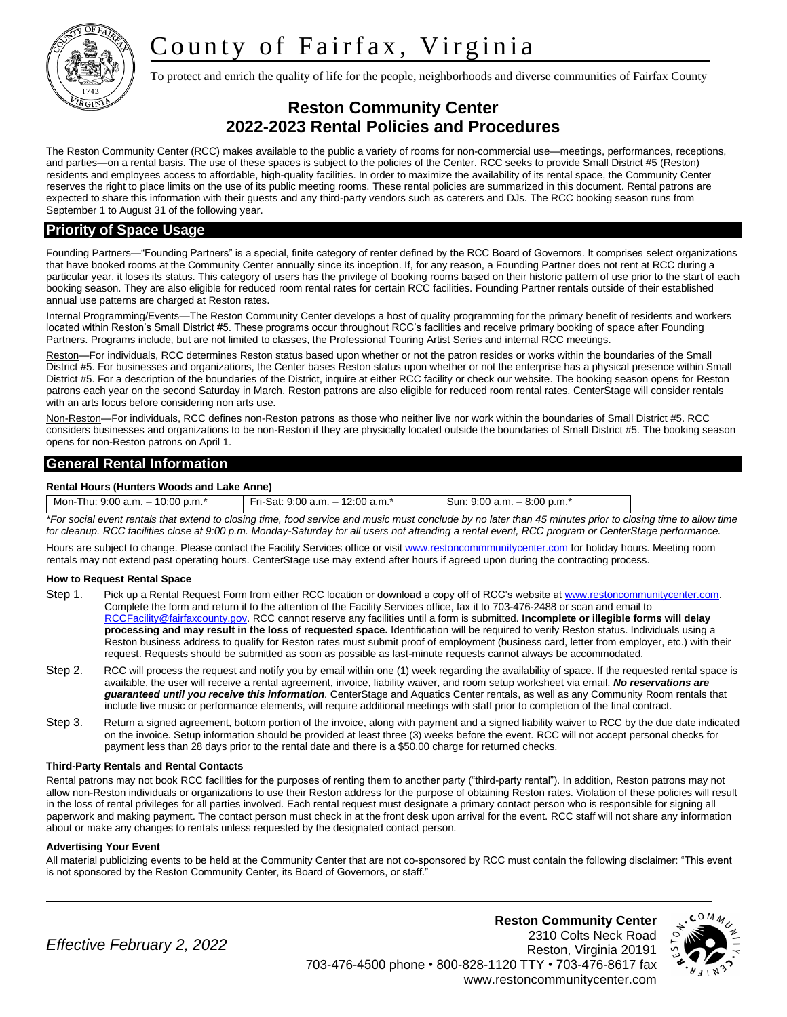# County of Fairfax, Virginia



To protect and enrich the quality of life for the people, neighborhoods and diverse communities of Fairfax County

## **Reston Community Center 2022-2023 Rental Policies and Procedures**

The Reston Community Center (RCC) makes available to the public a variety of rooms for non-commercial use—meetings, performances, receptions, and parties—on a rental basis. The use of these spaces is subject to the policies of the Center. RCC seeks to provide Small District #5 (Reston) residents and employees access to affordable, high-quality facilities. In order to maximize the availability of its rental space, the Community Center reserves the right to place limits on the use of its public meeting rooms. These rental policies are summarized in this document. Rental patrons are expected to share this information with their guests and any third-party vendors such as caterers and DJs. The RCC booking season runs from September 1 to August 31 of the following year.

## **Priority of Space Usage**

Founding Partners—"Founding Partners" is a special, finite category of renter defined by the RCC Board of Governors. It comprises select organizations that have booked rooms at the Community Center annually since its inception. If, for any reason, a Founding Partner does not rent at RCC during a particular year, it loses its status. This category of users has the privilege of booking rooms based on their historic pattern of use prior to the start of each booking season. They are also eligible for reduced room rental rates for certain RCC facilities. Founding Partner rentals outside of their established annual use patterns are charged at Reston rates.

Internal Programming/Events—The Reston Community Center develops a host of quality programming for the primary benefit of residents and workers located within Reston's Small District #5. These programs occur throughout RCC's facilities and receive primary booking of space after Founding Partners. Programs include, but are not limited to classes, the Professional Touring Artist Series and internal RCC meetings.

Reston—For individuals, RCC determines Reston status based upon whether or not the patron resides or works within the boundaries of the Small District #5. For businesses and organizations, the Center bases Reston status upon whether or not the enterprise has a physical presence within Small District #5. For a description of the boundaries of the District, inquire at either RCC facility or check our website. The booking season opens for Reston patrons each year on the second Saturday in March. Reston patrons are also eligible for reduced room rental rates. CenterStage will consider rentals with an arts focus before considering non arts use.

Non-Reston—For individuals, RCC defines non-Reston patrons as those who neither live nor work within the boundaries of Small District #5. RCC considers businesses and organizations to be non-Reston if they are physically located outside the boundaries of Small District #5. The booking season opens for non-Reston patrons on April 1.

## **General Rental Information**

#### **Rental Hours (Hunters Woods and Lake Anne)**

| Sun: $9:00$ a.m. $-8:00$ p.m. <sup>*</sup><br>Fri-Sat: 9:00 a.m. $-$ 12:00 a.m.*<br>Mon-Thu: $9.00$ a.m. $-10.00$ p.m. <sup>*</sup> |  |
|-------------------------------------------------------------------------------------------------------------------------------------|--|
|-------------------------------------------------------------------------------------------------------------------------------------|--|

*\*For social event rentals that extend to closing time, food service and music must conclude by no later than 45 minutes prior to closing time to allow time for cleanup. RCC facilities close at 9:00 p.m. Monday-Saturday for all users not attending a rental event, RCC program or CenterStage performance.*

Hours are subject to change. Please contact the Facility Services office or visi[t www.restoncommmunitycenter.com](http://www.restoncommmunitycenter.com/) for holiday hours. Meeting room rentals may not extend past operating hours. CenterStage use may extend after hours if agreed upon during the contracting process.

#### **How to Request Rental Space**

- Step 1. Pick up a Rental Request Form from either RCC location or download a copy off of RCC's website at www.restoncommunitycenter.com. Complete the form and return it to the attention of the Facility Services office, fax it to 703-476-2488 or scan and email to [RCCFacility@fairfaxcounty.gov.](mailto:RCCFacility@fairfaxcounty.gov) RCC cannot reserve any facilities until a form is submitted. **Incomplete or illegible forms will delay processing and may result in the loss of requested space.** Identification will be required to verify Reston status. Individuals using a Reston business address to qualify for Reston rates must submit proof of employment (business card, letter from employer, etc.) with their request. Requests should be submitted as soon as possible as last-minute requests cannot always be accommodated.
- Step 2. RCC will process the request and notify you by email within one (1) week regarding the availability of space. If the requested rental space is available, the user will receive a rental agreement, invoice, liability waiver, and room setup worksheet via email. *No reservations are guaranteed until you receive this information.* CenterStage and Aquatics Center rentals, as well as any Community Room rentals that include live music or performance elements, will require additional meetings with staff prior to completion of the final contract.
- Step 3. Return a signed agreement, bottom portion of the invoice, along with payment and a signed liability waiver to RCC by the due date indicated on the invoice. Setup information should be provided at least three (3) weeks before the event. RCC will not accept personal checks for payment less than 28 days prior to the rental date and there is a \$50.00 charge for returned checks.

#### **Third-Party Rentals and Rental Contacts**

Rental patrons may not book RCC facilities for the purposes of renting them to another party ("third-party rental"). In addition, Reston patrons may not allow non-Reston individuals or organizations to use their Reston address for the purpose of obtaining Reston rates. Violation of these policies will result in the loss of rental privileges for all parties involved. Each rental request must designate a primary contact person who is responsible for signing all paperwork and making payment. The contact person must check in at the front desk upon arrival for the event. RCC staff will not share any information about or make any changes to rentals unless requested by the designated contact person.

#### **Advertising Your Event**

All material publicizing events to be held at the Community Center that are not co-sponsored by RCC must contain the following disclaimer: "This event is not sponsored by the Reston Community Center, its Board of Governors, or staff."

*Effective February 2, 2022*

**Reston Community Center** 2310 Colts Neck Road Reston, Virginia 20191 703-476-4500 phone • 800-828-1120 TTY • 703-476-8617 fax www.restoncommunitycenter.com

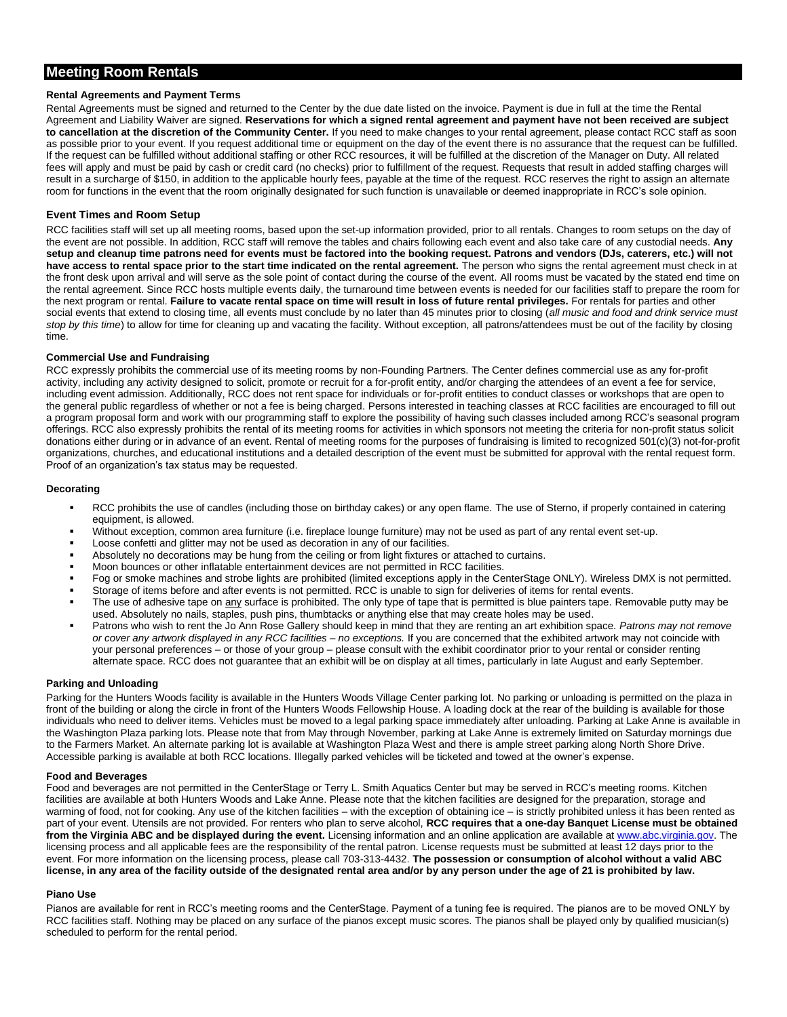## **Meeting Room Rentals**

#### **Rental Agreements and Payment Terms**

Rental Agreements must be signed and returned to the Center by the due date listed on the invoice. Payment is due in full at the time the Rental Agreement and Liability Waiver are signed. **Reservations for which a signed rental agreement and payment have not been received are subject to cancellation at the discretion of the Community Center.** If you need to make changes to your rental agreement, please contact RCC staff as soon as possible prior to your event. If you request additional time or equipment on the day of the event there is no assurance that the request can be fulfilled. If the request can be fulfilled without additional staffing or other RCC resources, it will be fulfilled at the discretion of the Manager on Duty. All related fees will apply and must be paid by cash or credit card (no checks) prior to fulfillment of the request. Requests that result in added staffing charges will result in a surcharge of \$150, in addition to the applicable hourly fees, payable at the time of the request. RCC reserves the right to assign an alternate room for functions in the event that the room originally designated for such function is unavailable or deemed inappropriate in RCC's sole opinion.

#### **Event Times and Room Setup**

RCC facilities staff will set up all meeting rooms, based upon the set-up information provided, prior to all rentals. Changes to room setups on the day of the event are not possible. In addition, RCC staff will remove the tables and chairs following each event and also take care of any custodial needs. **Any setup and cleanup time patrons need for events must be factored into the booking request. Patrons and vendors (DJs, caterers, etc.) will not have access to rental space prior to the start time indicated on the rental agreement.** The person who signs the rental agreement must check in at the front desk upon arrival and will serve as the sole point of contact during the course of the event. All rooms must be vacated by the stated end time on the rental agreement. Since RCC hosts multiple events daily, the turnaround time between events is needed for our facilities staff to prepare the room for the next program or rental. **Failure to vacate rental space on time will result in loss of future rental privileges.** For rentals for parties and other social events that extend to closing time, all events must conclude by no later than 45 minutes prior to closing (*all music and food and drink service must stop by this time*) to allow for time for cleaning up and vacating the facility. Without exception, all patrons/attendees must be out of the facility by closing time.

#### **Commercial Use and Fundraising**

RCC expressly prohibits the commercial use of its meeting rooms by non-Founding Partners. The Center defines commercial use as any for-profit activity, including any activity designed to solicit, promote or recruit for a for-profit entity, and/or charging the attendees of an event a fee for service, including event admission. Additionally, RCC does not rent space for individuals or for-profit entities to conduct classes or workshops that are open to the general public regardless of whether or not a fee is being charged. Persons interested in teaching classes at RCC facilities are encouraged to fill out a program proposal form and work with our programming staff to explore the possibility of having such classes included among RCC's seasonal program offerings. RCC also expressly prohibits the rental of its meeting rooms for activities in which sponsors not meeting the criteria for non-profit status solicit donations either during or in advance of an event. Rental of meeting rooms for the purposes of fundraising is limited to recognized 501(c)(3) not-for-profit organizations, churches, and educational institutions and a detailed description of the event must be submitted for approval with the rental request form. Proof of an organization's tax status may be requested.

#### **Decorating**

- RCC prohibits the use of candles (including those on birthday cakes) or any open flame. The use of Sterno, if properly contained in catering equipment, is allowed.
- Without exception, common area furniture (i.e. fireplace lounge furniture) may not be used as part of any rental event set-up.
- Loose confetti and glitter may not be used as decoration in any of our facilities.
- Absolutely no decorations may be hung from the ceiling or from light fixtures or attached to curtains.
- Moon bounces or other inflatable entertainment devices are not permitted in RCC facilities.
- Fog or smoke machines and strobe lights are prohibited (limited exceptions apply in the CenterStage ONLY). Wireless DMX is not permitted.
- Storage of items before and after events is not permitted. RCC is unable to sign for deliveries of items for rental events.
- The use of adhesive tape on any surface is prohibited. The only type of tape that is permitted is blue painters tape. Removable putty may be used. Absolutely no nails, staples, push pins, thumbtacks or anything else that may create holes may be used.
- Patrons who wish to rent the Jo Ann Rose Gallery should keep in mind that they are renting an art exhibition space. Patrons may not remove *or cover any artwork displayed in any RCC facilities – no exceptions.* If you are concerned that the exhibited artwork may not coincide with your personal preferences – or those of your group – please consult with the exhibit coordinator prior to your rental or consider renting alternate space. RCC does not guarantee that an exhibit will be on display at all times, particularly in late August and early September.

#### **Parking and Unloading**

Parking for the Hunters Woods facility is available in the Hunters Woods Village Center parking lot. No parking or unloading is permitted on the plaza in front of the building or along the circle in front of the Hunters Woods Fellowship House. A loading dock at the rear of the building is available for those individuals who need to deliver items. Vehicles must be moved to a legal parking space immediately after unloading. Parking at Lake Anne is available in the Washington Plaza parking lots. Please note that from May through November, parking at Lake Anne is extremely limited on Saturday mornings due to the Farmers Market. An alternate parking lot is available at Washington Plaza West and there is ample street parking along North Shore Drive. Accessible parking is available at both RCC locations. Illegally parked vehicles will be ticketed and towed at the owner's expense.

#### **Food and Beverages**

Food and beverages are not permitted in the CenterStage or Terry L. Smith Aquatics Center but may be served in RCC's meeting rooms. Kitchen facilities are available at both Hunters Woods and Lake Anne. Please note that the kitchen facilities are designed for the preparation, storage and warming of food, not for cooking. Any use of the kitchen facilities – with the exception of obtaining ice – is strictly prohibited unless it has been rented as part of your event. Utensils are not provided. For renters who plan to serve alcohol, **RCC requires that a one-day Banquet License must be obtained from the Virginia ABC and be displayed during the event.** Licensing information and an online application are available a[t www.abc.virginia.gov.](http://www.abc.virginia.gov/) The licensing process and all applicable fees are the responsibility of the rental patron. License requests must be submitted at least 12 days prior to the event. For more information on the licensing process, please call 703-313-4432. **The possession or consumption of alcohol without a valid ABC license, in any area of the facility outside of the designated rental area and/or by any person under the age of 21 is prohibited by law.**

#### **Piano Use**

Pianos are available for rent in RCC's meeting rooms and the CenterStage. Payment of a tuning fee is required. The pianos are to be moved ONLY by RCC facilities staff. Nothing may be placed on any surface of the pianos except music scores. The pianos shall be played only by qualified musician(s) scheduled to perform for the rental period.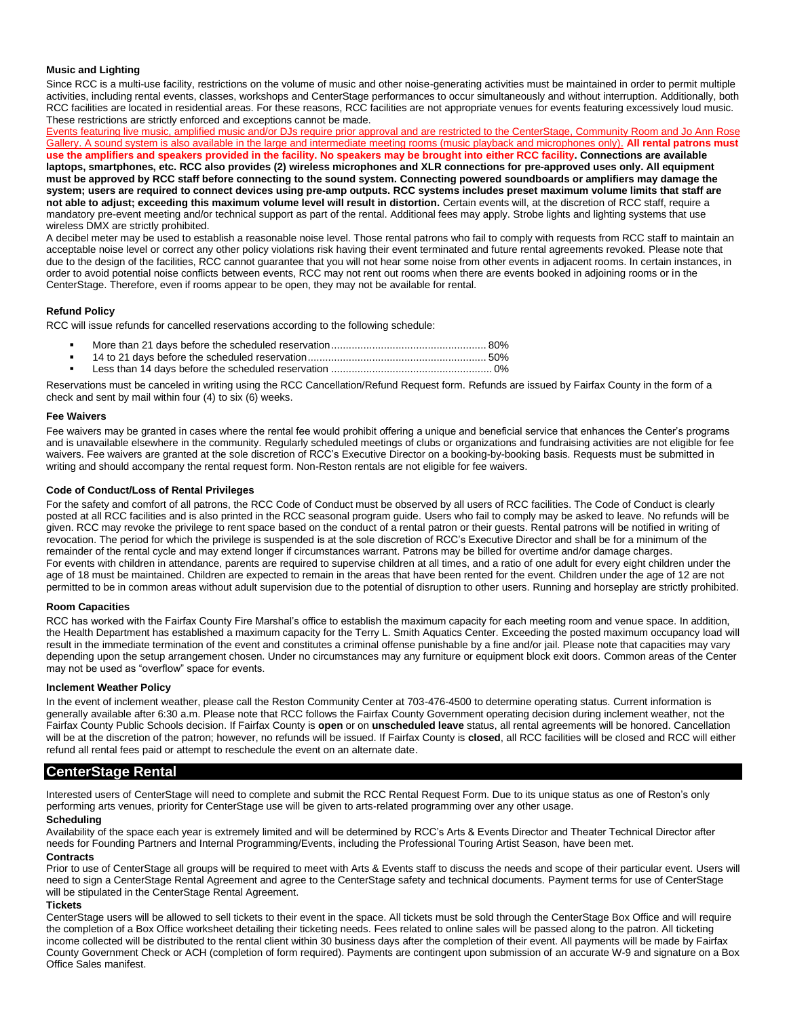#### **Music and Lighting**

Since RCC is a multi-use facility, restrictions on the volume of music and other noise-generating activities must be maintained in order to permit multiple activities, including rental events, classes, workshops and CenterStage performances to occur simultaneously and without interruption. Additionally, both RCC facilities are located in residential areas. For these reasons, RCC facilities are not appropriate venues for events featuring excessively loud music. These restrictions are strictly enforced and exceptions cannot be made.

Events featuring live music, amplified music and/or DJs require prior approval and are restricted to the CenterStage, Community Room and Jo Ann Rose Gallery. A sound system is also available in the large and intermediate meeting rooms (music playback and microphones only). **All rental patrons must use the amplifiers and speakers provided in the facility. No speakers may be brought into either RCC facility. Connections are available laptops, smartphones, etc. RCC also provides (2) wireless microphones and XLR connections for pre-approved uses only. All equipment must be approved by RCC staff before connecting to the sound system. Connecting powered soundboards or amplifiers may damage the system; users are required to connect devices using pre-amp outputs. RCC systems includes preset maximum volume limits that staff are not able to adjust; exceeding this maximum volume level will result in distortion.** Certain events will, at the discretion of RCC staff, require a mandatory pre-event meeting and/or technical support as part of the rental. Additional fees may apply. Strobe lights and lighting systems that use wireless DMX are strictly prohibited.

A decibel meter may be used to establish a reasonable noise level. Those rental patrons who fail to comply with requests from RCC staff to maintain an acceptable noise level or correct any other policy violations risk having their event terminated and future rental agreements revoked. Please note that due to the design of the facilities, RCC cannot guarantee that you will not hear some noise from other events in adjacent rooms. In certain instances, in order to avoid potential noise conflicts between events, RCC may not rent out rooms when there are events booked in adjoining rooms or in the CenterStage. Therefore, even if rooms appear to be open, they may not be available for rental.

#### **Refund Policy**

RCC will issue refunds for cancelled reservations according to the following schedule:

- More than 21 days before the scheduled reservation..................................................... 80%
- 14 to 21 days before the scheduled reservation............................................................. 50%
- Less than 14 days before the scheduled reservation ....................................................... 0%

Reservations must be canceled in writing using the RCC Cancellation/Refund Request form. Refunds are issued by Fairfax County in the form of a check and sent by mail within four (4) to six (6) weeks.

#### **Fee Waivers**

Fee waivers may be granted in cases where the rental fee would prohibit offering a unique and beneficial service that enhances the Center's programs and is unavailable elsewhere in the community. Regularly scheduled meetings of clubs or organizations and fundraising activities are not eligible for fee waivers. Fee waivers are granted at the sole discretion of RCC's Executive Director on a booking-by-booking basis. Requests must be submitted in writing and should accompany the rental request form. Non-Reston rentals are not eligible for fee waivers.

#### **Code of Conduct/Loss of Rental Privileges**

For the safety and comfort of all patrons, the RCC Code of Conduct must be observed by all users of RCC facilities. The Code of Conduct is clearly posted at all RCC facilities and is also printed in the RCC seasonal program guide. Users who fail to comply may be asked to leave. No refunds will be given. RCC may revoke the privilege to rent space based on the conduct of a rental patron or their guests. Rental patrons will be notified in writing of revocation. The period for which the privilege is suspended is at the sole discretion of RCC's Executive Director and shall be for a minimum of the remainder of the rental cycle and may extend longer if circumstances warrant. Patrons may be billed for overtime and/or damage charges. For events with children in attendance, parents are required to supervise children at all times, and a ratio of one adult for every eight children under the age of 18 must be maintained. Children are expected to remain in the areas that have been rented for the event. Children under the age of 12 are not permitted to be in common areas without adult supervision due to the potential of disruption to other users. Running and horseplay are strictly prohibited.

#### **Room Capacities**

RCC has worked with the Fairfax County Fire Marshal's office to establish the maximum capacity for each meeting room and venue space. In addition, the Health Department has established a maximum capacity for the Terry L. Smith Aquatics Center. Exceeding the posted maximum occupancy load will result in the immediate termination of the event and constitutes a criminal offense punishable by a fine and/or jail. Please note that capacities may vary depending upon the setup arrangement chosen. Under no circumstances may any furniture or equipment block exit doors. Common areas of the Center may not be used as "overflow" space for events.

#### **Inclement Weather Policy**

In the event of inclement weather, please call the Reston Community Center at 703-476-4500 to determine operating status. Current information is generally available after 6:30 a.m. Please note that RCC follows the Fairfax County Government operating decision during inclement weather, not the Fairfax County Public Schools decision. If Fairfax County is **open** or on **unscheduled leave** status, all rental agreements will be honored. Cancellation will be at the discretion of the patron; however, no refunds will be issued. If Fairfax County is **closed**, all RCC facilities will be closed and RCC will either refund all rental fees paid or attempt to reschedule the event on an alternate date.

#### **CenterStage Rental**

Interested users of CenterStage will need to complete and submit the RCC Rental Request Form. Due to its unique status as one of Reston's only performing arts venues, priority for CenterStage use will be given to arts-related programming over any other usage.

#### **Scheduling**

Availability of the space each year is extremely limited and will be determined by RCC's Arts & Events Director and Theater Technical Director after needs for Founding Partners and Internal Programming/Events, including the Professional Touring Artist Season, have been met.

#### **Contracts**

Prior to use of CenterStage all groups will be required to meet with Arts & Events staff to discuss the needs and scope of their particular event. Users will need to sign a CenterStage Rental Agreement and agree to the CenterStage safety and technical documents. Payment terms for use of CenterStage will be stipulated in the CenterStage Rental Agreement.

#### **Tickets**

CenterStage users will be allowed to sell tickets to their event in the space. All tickets must be sold through the CenterStage Box Office and will require the completion of a Box Office worksheet detailing their ticketing needs. Fees related to online sales will be passed along to the patron. All ticketing income collected will be distributed to the rental client within 30 business days after the completion of their event. All payments will be made by Fairfax County Government Check or ACH (completion of form required). Payments are contingent upon submission of an accurate W-9 and signature on a Box Office Sales manifest.